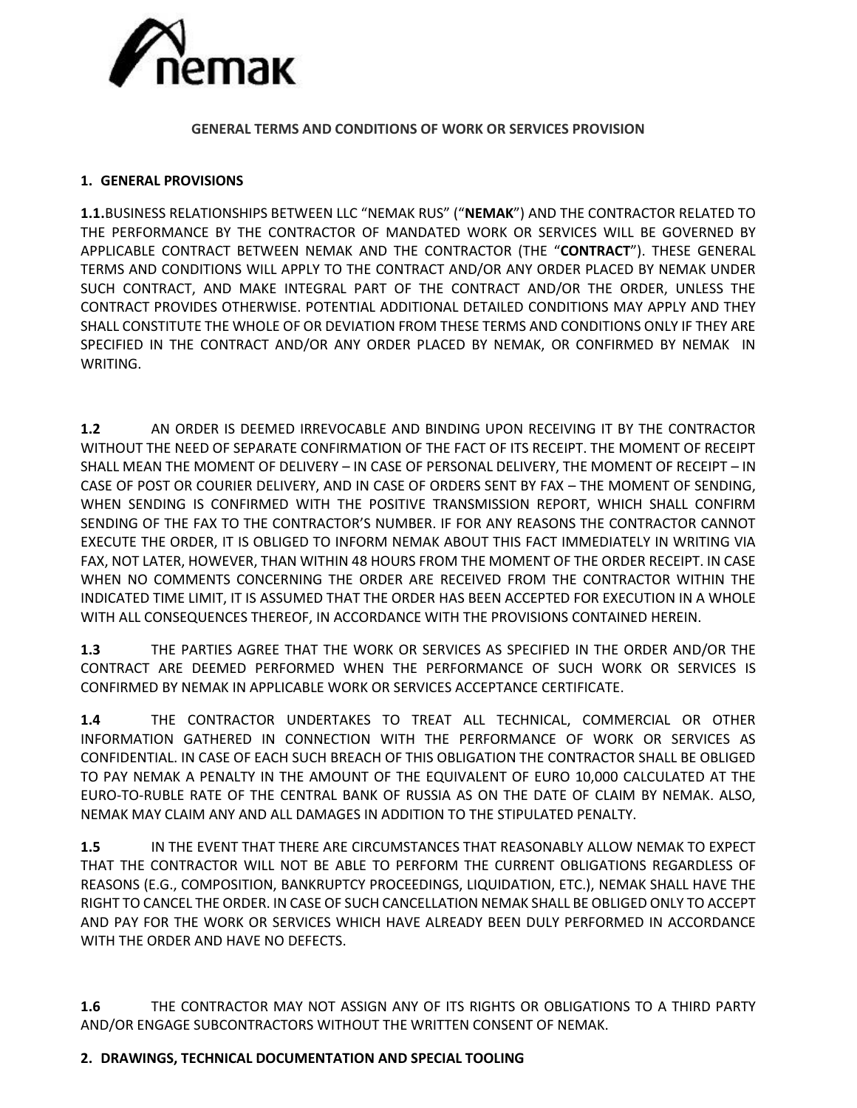

**GENERAL TERMS AND CONDITIONS OF WORK OR SERVICES PROVISION**

# **1. GENERAL PROVISIONS**

**1.1.**BUSINESS RELATIONSHIPS BETWEEN LLC "NEMAK RUS" ("**NEMAK**") AND THE CONTRACTOR RELATED TO THE PERFORMANCE BY THE CONTRACTOR OF MANDATED WORK OR SERVICES WILL BE GOVERNED BY APPLICABLE CONTRACT BETWEEN NEMAK AND THE CONTRACTOR (THE "**CONTRACT**"). THESE GENERAL TERMS AND CONDITIONS WILL APPLY TO THE CONTRACT AND/OR ANY ORDER PLACED BY NEMAK UNDER SUCH CONTRACT, AND MAKE INTEGRAL PART OF THE CONTRACT AND/OR THE ORDER, UNLESS THE CONTRACT PROVIDES OTHERWISE. POTENTIAL ADDITIONAL DETAILED CONDITIONS MAY APPLY AND THEY SHALL CONSTITUTE THE WHOLE OF OR DEVIATION FROM THESE TERMS AND CONDITIONS ONLY IF THEY ARE SPECIFIED IN THE CONTRACT AND/OR ANY ORDER PLACED BY NEMAK, OR CONFIRMED BY NEMAK IN WRITING.

**1.2** AN ORDER IS DEEMED IRREVOCABLE AND BINDING UPON RECEIVING IT BY THE CONTRACTOR WITHOUT THE NEED OF SEPARATE CONFIRMATION OF THE FACT OF ITS RECEIPT. THE MOMENT OF RECEIPT SHALL MEAN THE MOMENT OF DELIVERY – IN CASE OF PERSONAL DELIVERY, THE MOMENT OF RECEIPT – IN CASE OF POST OR COURIER DELIVERY, AND IN CASE OF ORDERS SENT BY FAX – THE MOMENT OF SENDING, WHEN SENDING IS CONFIRMED WITH THE POSITIVE TRANSMISSION REPORT, WHICH SHALL CONFIRM SENDING OF THE FAX TO THE CONTRACTOR'S NUMBER. IF FOR ANY REASONS THE CONTRACTOR CANNOT EXECUTE THE ORDER, IT IS OBLIGED TO INFORM NEMAK ABOUT THIS FACT IMMEDIATELY IN WRITING VIA FAX, NOT LATER, HOWEVER, THAN WITHIN 48 HOURS FROM THE MOMENT OF THE ORDER RECEIPT. IN CASE WHEN NO COMMENTS CONCERNING THE ORDER ARE RECEIVED FROM THE CONTRACTOR WITHIN THE INDICATED TIME LIMIT, IT IS ASSUMED THAT THE ORDER HAS BEEN ACCEPTED FOR EXECUTION IN A WHOLE WITH ALL CONSEQUENCES THEREOF, IN ACCORDANCE WITH THE PROVISIONS CONTAINED HEREIN.

**1.3** THE PARTIES AGREE THAT THE WORK OR SERVICES AS SPECIFIED IN THE ORDER AND/OR THE CONTRACT ARE DEEMED PERFORMED WHEN THE PERFORMANCE OF SUCH WORK OR SERVICES IS CONFIRMED BY NEMAK IN APPLICABLE WORK OR SERVICES ACCEPTANCE CERTIFICATE.

**1.4** THE CONTRACTOR UNDERTAKES TO TREAT ALL TECHNICAL, COMMERCIAL OR OTHER INFORMATION GATHERED IN CONNECTION WITH THE PERFORMANCE OF WORK OR SERVICES AS CONFIDENTIAL. IN CASE OF EACH SUCH BREACH OF THIS OBLIGATION THE CONTRACTOR SHALL BE OBLIGED TO PAY NEMAK A PENALTY IN THE AMOUNT OF THE EQUIVALENT OF EURO 10,000 CALCULATED AT THE EURO-TO-RUBLE RATE OF THE CENTRAL BANK OF RUSSIA AS ON THE DATE OF CLAIM BY NEMAK. ALSO, NEMAK MAY CLAIM ANY AND ALL DAMAGES IN ADDITION TO THE STIPULATED PENALTY.

**1.5** IN THE EVENT THAT THERE ARE CIRCUMSTANCES THAT REASONABLY ALLOW NEMAK TO EXPECT THAT THE CONTRACTOR WILL NOT BE ABLE TO PERFORM THE CURRENT OBLIGATIONS REGARDLESS OF REASONS (E.G., COMPOSITION, BANKRUPTCY PROCEEDINGS, LIQUIDATION, ETC.), NEMAK SHALL HAVE THE RIGHT TO CANCEL THE ORDER. IN CASE OF SUCH CANCELLATION NEMAK SHALL BE OBLIGED ONLY TO ACCEPT AND PAY FOR THE WORK OR SERVICES WHICH HAVE ALREADY BEEN DULY PERFORMED IN ACCORDANCE WITH THE ORDER AND HAVE NO DEFECTS.

**1.6** THE CONTRACTOR MAY NOT ASSIGN ANY OF ITS RIGHTS OR OBLIGATIONS TO A THIRD PARTY AND/OR ENGAGE SUBCONTRACTORS WITHOUT THE WRITTEN CONSENT OF NEMAK.

# **2. DRAWINGS, TECHNICAL DOCUMENTATION AND SPECIAL TOOLING**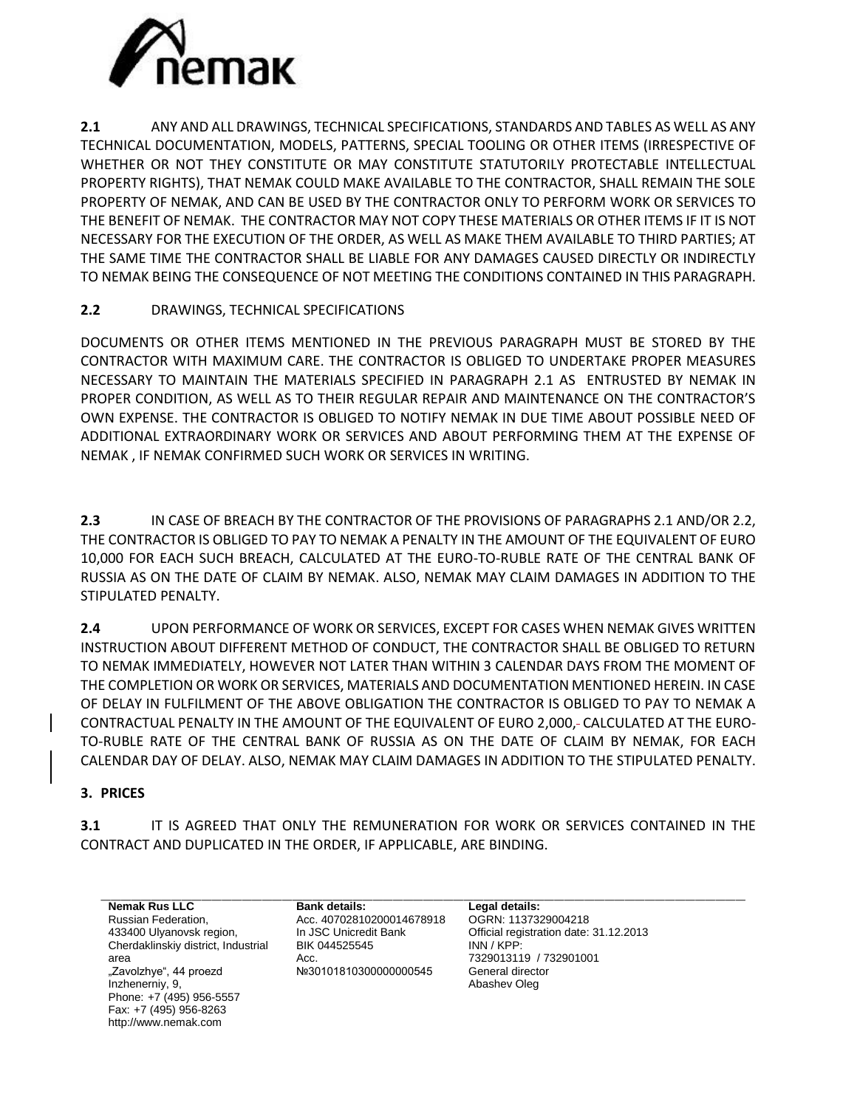

**2.1** ANY AND ALL DRAWINGS, TECHNICAL SPECIFICATIONS, STANDARDS AND TABLES AS WELL AS ANY TECHNICAL DOCUMENTATION, MODELS, PATTERNS, SPECIAL TOOLING OR OTHER ITEMS (IRRESPECTIVE OF WHETHER OR NOT THEY CONSTITUTE OR MAY CONSTITUTE STATUTORILY PROTECTABLE INTELLECTUAL PROPERTY RIGHTS), THAT NEMAK COULD MAKE AVAILABLE TO THE CONTRACTOR, SHALL REMAIN THE SOLE PROPERTY OF NEMAK, AND CAN BE USED BY THE CONTRACTOR ONLY TO PERFORM WORK OR SERVICES TO THE BENEFIT OF NEMAK. THE CONTRACTOR MAY NOT COPY THESE MATERIALS OR OTHER ITEMS IF IT IS NOT NECESSARY FOR THE EXECUTION OF THE ORDER, AS WELL AS MAKE THEM AVAILABLE TO THIRD PARTIES; AT THE SAME TIME THE CONTRACTOR SHALL BE LIABLE FOR ANY DAMAGES CAUSED DIRECTLY OR INDIRECTLY TO NEMAK BEING THE CONSEQUENCE OF NOT MEETING THE CONDITIONS CONTAINED IN THIS PARAGRAPH.

# **2.2** DRAWINGS, TECHNICAL SPECIFICATIONS

DOCUMENTS OR OTHER ITEMS MENTIONED IN THE PREVIOUS PARAGRAPH MUST BE STORED BY THE CONTRACTOR WITH MAXIMUM CARE. THE CONTRACTOR IS OBLIGED TO UNDERTAKE PROPER MEASURES NECESSARY TO MAINTAIN THE MATERIALS SPECIFIED IN PARAGRAPH 2.1 AS ENTRUSTED BY NEMAK IN PROPER CONDITION, AS WELL AS TO THEIR REGULAR REPAIR AND MAINTENANCE ON THE CONTRACTOR'S OWN EXPENSE. THE CONTRACTOR IS OBLIGED TO NOTIFY NEMAK IN DUE TIME ABOUT POSSIBLE NEED OF ADDITIONAL EXTRAORDINARY WORK OR SERVICES AND ABOUT PERFORMING THEM AT THE EXPENSE OF NEMAK , IF NEMAK CONFIRMED SUCH WORK OR SERVICES IN WRITING.

**2.3** IN CASE OF BREACH BY THE CONTRACTOR OF THE PROVISIONS OF PARAGRAPHS 2.1 AND/OR 2.2, THE CONTRACTOR IS OBLIGED TO PAY TO NEMAK A PENALTY IN THE AMOUNT OF THE EQUIVALENT OF EURO 10,000 FOR EACH SUCH BREACH, CALCULATED AT THE EURO-TO-RUBLE RATE OF THE CENTRAL BANK OF RUSSIA AS ON THE DATE OF CLAIM BY NEMAK. ALSO, NEMAK MAY CLAIM DAMAGES IN ADDITION TO THE STIPULATED PENALTY.

**2.4** UPON PERFORMANCE OF WORK OR SERVICES, EXCEPT FOR CASES WHEN NEMAK GIVES WRITTEN INSTRUCTION ABOUT DIFFERENT METHOD OF CONDUCT, THE CONTRACTOR SHALL BE OBLIGED TO RETURN TO NEMAK IMMEDIATELY, HOWEVER NOT LATER THAN WITHIN 3 CALENDAR DAYS FROM THE MOMENT OF THE COMPLETION OR WORK OR SERVICES, MATERIALS AND DOCUMENTATION MENTIONED HEREIN. IN CASE OF DELAY IN FULFILMENT OF THE ABOVE OBLIGATION THE CONTRACTOR IS OBLIGED TO PAY TO NEMAK A CONTRACTUAL PENALTY IN THE AMOUNT OF THE EQUIVALENT OF EURO 2,000, CALCULATED AT THE EURO-TO-RUBLE RATE OF THE CENTRAL BANK OF RUSSIA AS ON THE DATE OF CLAIM BY NEMAK, FOR EACH CALENDAR DAY OF DELAY. ALSO, NEMAK MAY CLAIM DAMAGES IN ADDITION TO THE STIPULATED PENALTY.

# **3. PRICES**

**3.1** IT IS AGREED THAT ONLY THE REMUNERATION FOR WORK OR SERVICES CONTAINED IN THE CONTRACT AND DUPLICATED IN THE ORDER, IF APPLICABLE, ARE BINDING.

**Nemak Rus LLC** Russian Federation, 433400 Ulyanovsk region, Cherdaklinskiy district, Industrial area "Zavolzhye", 44 proezd Inzhenerniy, 9, Phone: +7 (495) 956-5557 Fax: +7 (495) 956-8263 http://www.nemak.com

**Bank details:** Acc. 40702810200014678918 In JSC Unicredit Bank BIK 044525545 Acc. №30101810300000000545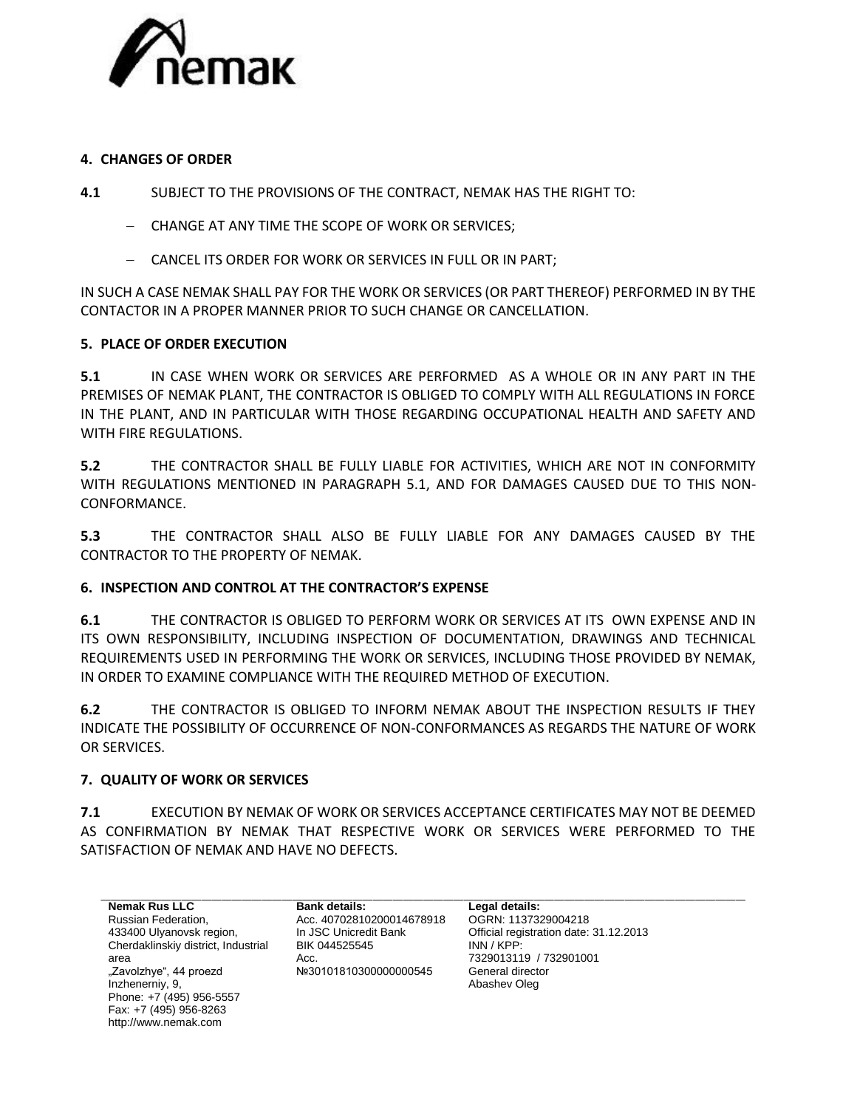

# **4. CHANGES OF ORDER**

**4.1** SUBJECT TO THE PROVISIONS OF THE CONTRACT, NEMAK HAS THE RIGHT TO:

- CHANGE AT ANY TIME THE SCOPE OF WORK OR SERVICES;
- CANCEL ITS ORDER FOR WORK OR SERVICES IN FULL OR IN PART;

IN SUCH A CASE NEMAK SHALL PAY FOR THE WORK OR SERVICES (OR PART THEREOF) PERFORMED IN BY THE CONTACTOR IN A PROPER MANNER PRIOR TO SUCH CHANGE OR CANCELLATION.

# **5. PLACE OF ORDER EXECUTION**

**5.1** IN CASE WHEN WORK OR SERVICES ARE PERFORMED AS A WHOLE OR IN ANY PART IN THE PREMISES OF NEMAK PLANT, THE CONTRACTOR IS OBLIGED TO COMPLY WITH ALL REGULATIONS IN FORCE IN THE PLANT, AND IN PARTICULAR WITH THOSE REGARDING OCCUPATIONAL HEALTH AND SAFETY AND WITH FIRE REGULATIONS.

**5.2** THE CONTRACTOR SHALL BE FULLY LIABLE FOR ACTIVITIES, WHICH ARE NOT IN CONFORMITY WITH REGULATIONS MENTIONED IN PARAGRAPH 5.1, AND FOR DAMAGES CAUSED DUE TO THIS NON-CONFORMANCE.

**5.3** THE CONTRACTOR SHALL ALSO BE FULLY LIABLE FOR ANY DAMAGES CAUSED BY THE CONTRACTOR TO THE PROPERTY OF NEMAK.

# **6. INSPECTION AND CONTROL AT THE CONTRACTOR'S EXPENSE**

**6.1** THE CONTRACTOR IS OBLIGED TO PERFORM WORK OR SERVICES AT ITS OWN EXPENSE AND IN ITS OWN RESPONSIBILITY, INCLUDING INSPECTION OF DOCUMENTATION, DRAWINGS AND TECHNICAL REQUIREMENTS USED IN PERFORMING THE WORK OR SERVICES, INCLUDING THOSE PROVIDED BY NEMAK, IN ORDER TO EXAMINE COMPLIANCE WITH THE REQUIRED METHOD OF EXECUTION.

**6.2** THE CONTRACTOR IS OBLIGED TO INFORM NEMAK ABOUT THE INSPECTION RESULTS IF THEY INDICATE THE POSSIBILITY OF OCCURRENCE OF NON-CONFORMANCES AS REGARDS THE NATURE OF WORK OR SERVICES.

# **7. QUALITY OF WORK OR SERVICES**

**7.1** EXECUTION BY NEMAK OF WORK OR SERVICES ACCEPTANCE CERTIFICATES MAY NOT BE DEEMED AS CONFIRMATION BY NEMAK THAT RESPECTIVE WORK OR SERVICES WERE PERFORMED TO THE SATISFACTION OF NEMAK AND HAVE NO DEFECTS.

**Nemak Rus LLC** Russian Federation, 433400 Ulyanovsk region, Cherdaklinskiy district, Industrial area "Zavolzhye", 44 proezd Inzhenerniy, 9, Phone: +7 (495) 956-5557 Fax: +7 (495) 956-8263 http://www.nemak.com

**Bank details:** Acc. 40702810200014678918 In JSC Unicredit Bank BIK 044525545 Acc. №30101810300000000545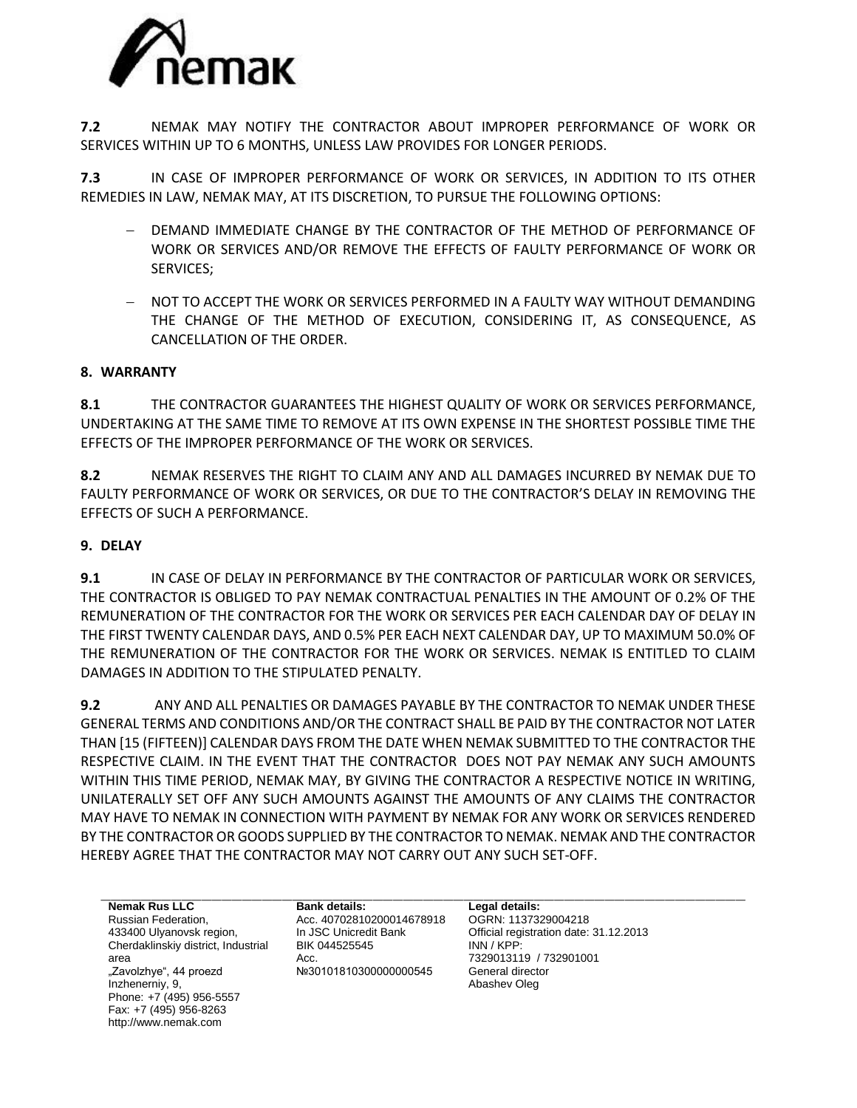

**7.2** NEMAK MAY NOTIFY THE CONTRACTOR ABOUT IMPROPER PERFORMANCE OF WORK OR SERVICES WITHIN UP TO 6 MONTHS, UNLESS LAW PROVIDES FOR LONGER PERIODS.

**7.3** IN CASE OF IMPROPER PERFORMANCE OF WORK OR SERVICES, IN ADDITION TO ITS OTHER REMEDIES IN LAW, NEMAK MAY, AT ITS DISCRETION, TO PURSUE THE FOLLOWING OPTIONS:

- DEMAND IMMEDIATE CHANGE BY THE CONTRACTOR OF THE METHOD OF PERFORMANCE OF WORK OR SERVICES AND/OR REMOVE THE EFFECTS OF FAULTY PERFORMANCE OF WORK OR SERVICES;
- $-$  NOT TO ACCEPT THE WORK OR SERVICES PERFORMED IN A FAULTY WAY WITHOUT DEMANDING THE CHANGE OF THE METHOD OF EXECUTION, CONSIDERING IT, AS CONSEQUENCE, AS CANCELLATION OF THE ORDER.

# **8. WARRANTY**

**8.1** THE CONTRACTOR GUARANTEES THE HIGHEST QUALITY OF WORK OR SERVICES PERFORMANCE, UNDERTAKING AT THE SAME TIME TO REMOVE AT ITS OWN EXPENSE IN THE SHORTEST POSSIBLE TIME THE EFFECTS OF THE IMPROPER PERFORMANCE OF THE WORK OR SERVICES.

**8.2** NEMAK RESERVES THE RIGHT TO CLAIM ANY AND ALL DAMAGES INCURRED BY NEMAK DUE TO FAULTY PERFORMANCE OF WORK OR SERVICES, OR DUE TO THE CONTRACTOR'S DELAY IN REMOVING THE EFFECTS OF SUCH A PERFORMANCE.

# **9. DELAY**

**9.1** IN CASE OF DELAY IN PERFORMANCE BY THE CONTRACTOR OF PARTICULAR WORK OR SERVICES, THE CONTRACTOR IS OBLIGED TO PAY NEMAK CONTRACTUAL PENALTIES IN THE AMOUNT OF 0.2% OF THE REMUNERATION OF THE CONTRACTOR FOR THE WORK OR SERVICES PER EACH CALENDAR DAY OF DELAY IN THE FIRST TWENTY CALENDAR DAYS, AND 0.5% PER EACH NEXT CALENDAR DAY, UP TO MAXIMUM 50.0% OF THE REMUNERATION OF THE CONTRACTOR FOR THE WORK OR SERVICES. NEMAK IS ENTITLED TO CLAIM DAMAGES IN ADDITION TO THE STIPULATED PENALTY.

**9.2** ANY AND ALL PENALTIES OR DAMAGES PAYABLE BY THE CONTRACTOR TO NEMAK UNDER THESE GENERAL TERMS AND CONDITIONS AND/OR THE CONTRACT SHALL BE PAID BY THE CONTRACTOR NOT LATER THAN [15 (FIFTEEN)] CALENDAR DAYS FROM THE DATE WHEN NEMAK SUBMITTED TO THE CONTRACTOR THE RESPECTIVE CLAIM. IN THE EVENT THAT THE CONTRACTOR DOES NOT PAY NEMAK ANY SUCH AMOUNTS WITHIN THIS TIME PERIOD, NEMAK MAY, BY GIVING THE CONTRACTOR A RESPECTIVE NOTICE IN WRITING, UNILATERALLY SET OFF ANY SUCH AMOUNTS AGAINST THE AMOUNTS OF ANY CLAIMS THE CONTRACTOR MAY HAVE TO NEMAK IN CONNECTION WITH PAYMENT BY NEMAK FOR ANY WORK OR SERVICES RENDERED BY THE CONTRACTOR OR GOODS SUPPLIED BY THE CONTRACTOR TO NEMAK. NEMAK AND THE CONTRACTOR HEREBY AGREE THAT THE CONTRACTOR MAY NOT CARRY OUT ANY SUCH SET-OFF.

**Nemak Rus LLC** Russian Federation, 433400 Ulyanovsk region, Cherdaklinskiy district, Industrial area "Zavolzhye", 44 proezd Inzhenerniy, 9, Phone: +7 (495) 956-5557 Fax: +7 (495) 956-8263 http://www.nemak.com

**Bank details:** Acc. 40702810200014678918 In JSC Unicredit Bank BIK 044525545 Acc. №30101810300000000545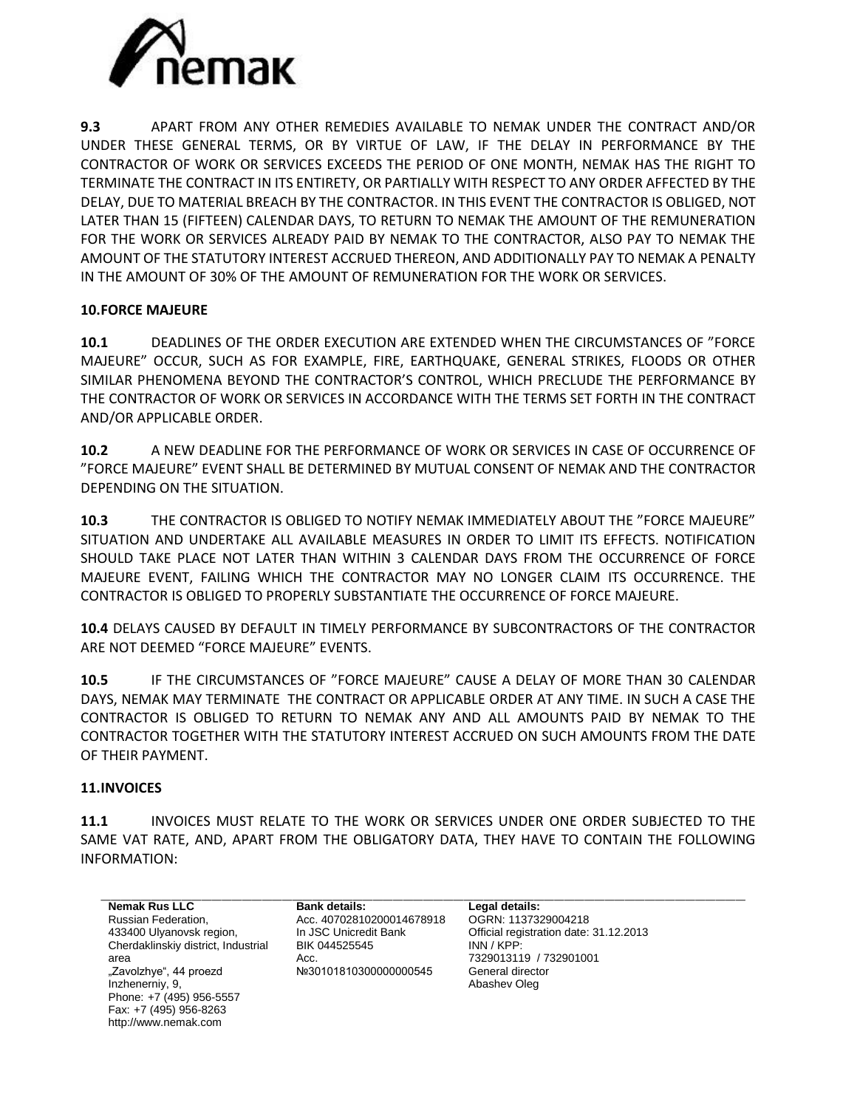

**9.3** APART FROM ANY OTHER REMEDIES AVAILABLE TO NEMAK UNDER THE CONTRACT AND/OR UNDER THESE GENERAL TERMS, OR BY VIRTUE OF LAW, IF THE DELAY IN PERFORMANCE BY THE CONTRACTOR OF WORK OR SERVICES EXCEEDS THE PERIOD OF ONE MONTH, NEMAK HAS THE RIGHT TO TERMINATE THE CONTRACT IN ITS ENTIRETY, OR PARTIALLY WITH RESPECT TO ANY ORDER AFFECTED BY THE DELAY, DUE TO MATERIAL BREACH BY THE CONTRACTOR. IN THIS EVENT THE CONTRACTOR IS OBLIGED, NOT LATER THAN 15 (FIFTEEN) CALENDAR DAYS, TO RETURN TO NEMAK THE AMOUNT OF THE REMUNERATION FOR THE WORK OR SERVICES ALREADY PAID BY NEMAK TO THE CONTRACTOR, ALSO PAY TO NEMAK THE AMOUNT OF THE STATUTORY INTEREST ACCRUED THEREON, AND ADDITIONALLY PAY TO NEMAK A PENALTY IN THE AMOUNT OF 30% OF THE AMOUNT OF REMUNERATION FOR THE WORK OR SERVICES.

# **10.FORCE MAJEURE**

**10.1** DEADLINES OF THE ORDER EXECUTION ARE EXTENDED WHEN THE CIRCUMSTANCES OF "FORCE MAJEURE" OCCUR, SUCH AS FOR EXAMPLE, FIRE, EARTHQUAKE, GENERAL STRIKES, FLOODS OR OTHER SIMILAR PHENOMENA BEYOND THE CONTRACTOR'S CONTROL, WHICH PRECLUDE THE PERFORMANCE BY THE CONTRACTOR OF WORK OR SERVICES IN ACCORDANCE WITH THE TERMS SET FORTH IN THE CONTRACT AND/OR APPLICABLE ORDER.

**10.2** A NEW DEADLINE FOR THE PERFORMANCE OF WORK OR SERVICES IN CASE OF OCCURRENCE OF "FORCE MAJEURE" EVENT SHALL BE DETERMINED BY MUTUAL CONSENT OF NEMAK AND THE CONTRACTOR DEPENDING ON THE SITUATION.

**10.3** THE CONTRACTOR IS OBLIGED TO NOTIFY NEMAK IMMEDIATELY ABOUT THE "FORCE MAJEURE" SITUATION AND UNDERTAKE ALL AVAILABLE MEASURES IN ORDER TO LIMIT ITS EFFECTS. NOTIFICATION SHOULD TAKE PLACE NOT LATER THAN WITHIN 3 CALENDAR DAYS FROM THE OCCURRENCE OF FORCE MAJEURE EVENT, FAILING WHICH THE CONTRACTOR MAY NO LONGER CLAIM ITS OCCURRENCE. THE CONTRACTOR IS OBLIGED TO PROPERLY SUBSTANTIATE THE OCCURRENCE OF FORCE MAJEURE.

**10.4** DELAYS CAUSED BY DEFAULT IN TIMELY PERFORMANCE BY SUBCONTRACTORS OF THE CONTRACTOR ARE NOT DEEMED "FORCE MAJEURE" EVENTS.

**10.5** IF THE CIRCUMSTANCES OF "FORCE MAJEURE" CAUSE A DELAY OF MORE THAN 30 CALENDAR DAYS, NEMAK MAY TERMINATE THE CONTRACT OR APPLICABLE ORDER AT ANY TIME. IN SUCH A CASE THE CONTRACTOR IS OBLIGED TO RETURN TO NEMAK ANY AND ALL AMOUNTS PAID BY NEMAK TO THE CONTRACTOR TOGETHER WITH THE STATUTORY INTEREST ACCRUED ON SUCH AMOUNTS FROM THE DATE OF THEIR PAYMENT.

# **11.INVOICES**

**11.1** INVOICES MUST RELATE TO THE WORK OR SERVICES UNDER ONE ORDER SUBJECTED TO THE SAME VAT RATE, AND, APART FROM THE OBLIGATORY DATA, THEY HAVE TO CONTAIN THE FOLLOWING INFORMATION:

**Nemak Rus LLC** Russian Federation, 433400 Ulyanovsk region, Cherdaklinskiy district, Industrial area "Zavolzhye", 44 proezd Inzhenerniy, 9, Phone: +7 (495) 956-5557 Fax: +7 (495) 956-8263 http://www.nemak.com

**Bank details:** Acc. 40702810200014678918 In JSC Unicredit Bank BIK 044525545 Acc. №30101810300000000545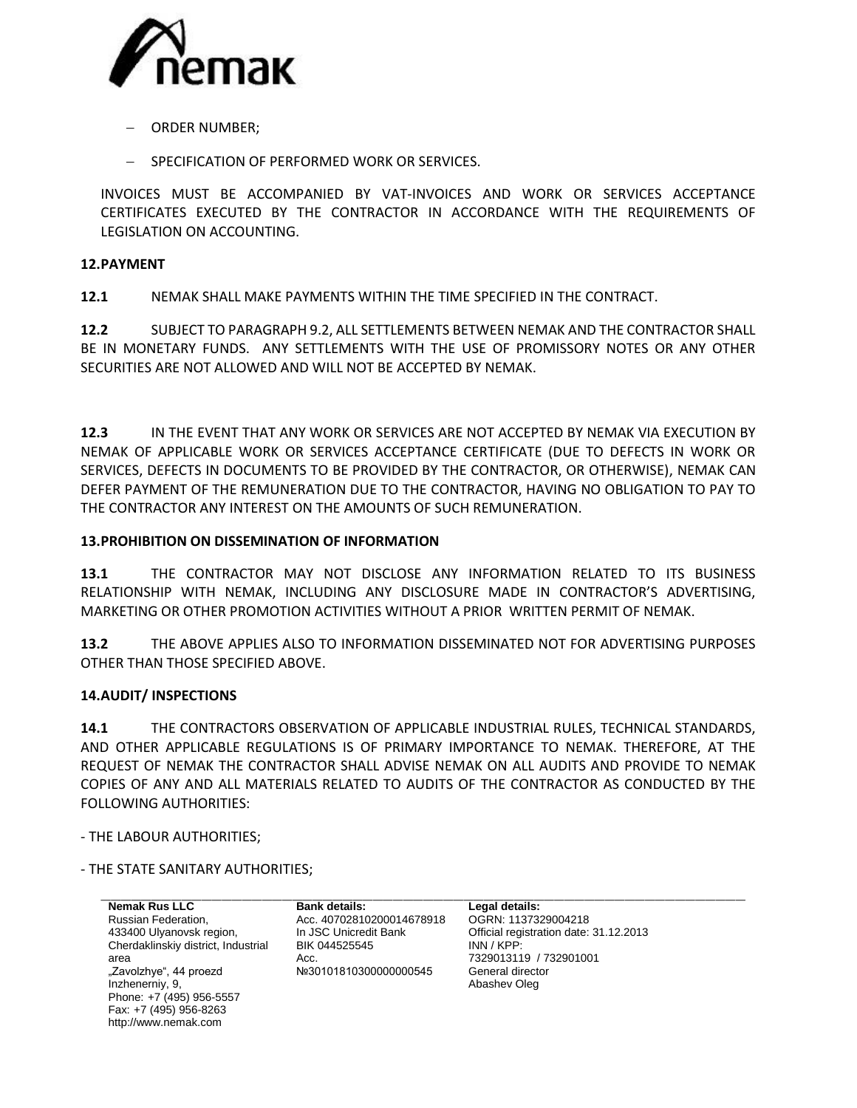

- ORDER NUMBER;
- SPECIFICATION OF PERFORMED WORK OR SERVICES.

INVOICES MUST BE ACCOMPANIED BY VAT-INVOICES AND WORK OR SERVICES ACCEPTANCE CERTIFICATES EXECUTED BY THE CONTRACTOR IN ACCORDANCE WITH THE REQUIREMENTS OF LEGISLATION ON ACCOUNTING.

#### **12.PAYMENT**

**12.1** NEMAK SHALL MAKE PAYMENTS WITHIN THE TIME SPECIFIED IN THE CONTRACT.

**12.2** SUBJECT TO PARAGRAPH 9.2, ALL SETTLEMENTS BETWEEN NEMAK AND THE CONTRACTOR SHALL BE IN MONETARY FUNDS. ANY SETTLEMENTS WITH THE USE OF PROMISSORY NOTES OR ANY OTHER SECURITIES ARE NOT ALLOWED AND WILL NOT BE ACCEPTED BY NEMAK.

**12.3** IN THE EVENT THAT ANY WORK OR SERVICES ARE NOT ACCEPTED BY NEMAK VIA EXECUTION BY NEMAK OF APPLICABLE WORK OR SERVICES ACCEPTANCE CERTIFICATE (DUE TO DEFECTS IN WORK OR SERVICES, DEFECTS IN DOCUMENTS TO BE PROVIDED BY THE CONTRACTOR, OR OTHERWISE), NEMAK CAN DEFER PAYMENT OF THE REMUNERATION DUE TO THE CONTRACTOR, HAVING NO OBLIGATION TO PAY TO THE CONTRACTOR ANY INTEREST ON THE AMOUNTS OF SUCH REMUNERATION.

# **13.PROHIBITION ON DISSEMINATION OF INFORMATION**

**13.1** THE CONTRACTOR MAY NOT DISCLOSE ANY INFORMATION RELATED TO ITS BUSINESS RELATIONSHIP WITH NEMAK, INCLUDING ANY DISCLOSURE MADE IN CONTRACTOR'S ADVERTISING, MARKETING OR OTHER PROMOTION ACTIVITIES WITHOUT A PRIOR WRITTEN PERMIT OF NEMAK.

**13.2** THE ABOVE APPLIES ALSO TO INFORMATION DISSEMINATED NOT FOR ADVERTISING PURPOSES OTHER THAN THOSE SPECIFIED ABOVE.

# **14.AUDIT/ INSPECTIONS**

**14.1** THE CONTRACTORS OBSERVATION OF APPLICABLE INDUSTRIAL RULES, TECHNICAL STANDARDS, AND OTHER APPLICABLE REGULATIONS IS OF PRIMARY IMPORTANCE TO NEMAK. THEREFORE, AT THE REQUEST OF NEMAK THE CONTRACTOR SHALL ADVISE NEMAK ON ALL AUDITS AND PROVIDE TO NEMAK COPIES OF ANY AND ALL MATERIALS RELATED TO AUDITS OF THE CONTRACTOR AS CONDUCTED BY THE FOLLOWING AUTHORITIES:

- THE LABOUR AUTHORITIES;
- THE STATE SANITARY AUTHORITIES;

**Nemak Rus LLC** Russian Federation, 433400 Ulyanovsk region, Cherdaklinskiy district, Industrial area "Zavolzhye", 44 proezd Inzhenerniy, 9, Phone: +7 (495) 956-5557 Fax: +7 (495) 956-8263 http://www.nemak.com

**Bank details:** Acc. 40702810200014678918 In JSC Unicredit Bank BIK 044525545 Acc. №30101810300000000545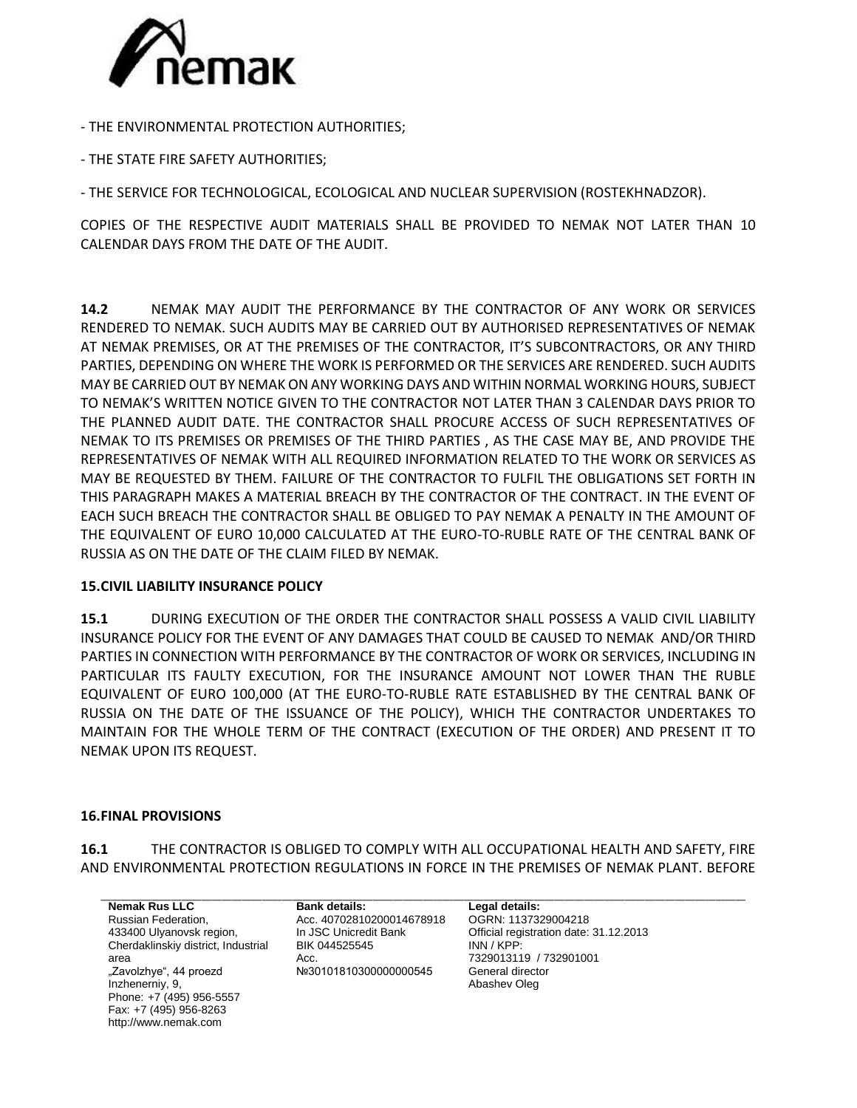

- THE ENVIRONMENTAL PROTECTION AUTHORITIES;

- THE STATE FIRE SAFETY AUTHORITIES;

- THE SERVICE FOR TECHNOLOGICAL, ECOLOGICAL AND NUCLEAR SUPERVISION (ROSTEKHNADZOR).

COPIES OF THE RESPECTIVE AUDIT MATERIALS SHALL BE PROVIDED TO NEMAK NOT LATER THAN 10 CALENDAR DAYS FROM THE DATE OF THE AUDIT.

**14.2** NEMAK MAY AUDIT THE PERFORMANCE BY THE CONTRACTOR OF ANY WORK OR SERVICES RENDERED TO NEMAK. SUCH AUDITS MAY BE CARRIED OUT BY AUTHORISED REPRESENTATIVES OF NEMAK AT NEMAK PREMISES, OR AT THE PREMISES OF THE CONTRACTOR, IT'S SUBCONTRACTORS, OR ANY THIRD PARTIES, DEPENDING ON WHERE THE WORK IS PERFORMED OR THE SERVICES ARE RENDERED. SUCH AUDITS MAY BE CARRIED OUT BY NEMAK ON ANY WORKING DAYS AND WITHIN NORMAL WORKING HOURS, SUBJECT TO NEMAK'S WRITTEN NOTICE GIVEN TO THE CONTRACTOR NOT LATER THAN 3 CALENDAR DAYS PRIOR TO THE PLANNED AUDIT DATE. THE CONTRACTOR SHALL PROCURE ACCESS OF SUCH REPRESENTATIVES OF NEMAK TO ITS PREMISES OR PREMISES OF THE THIRD PARTIES , AS THE CASE MAY BE, AND PROVIDE THE REPRESENTATIVES OF NEMAK WITH ALL REQUIRED INFORMATION RELATED TO THE WORK OR SERVICES AS MAY BE REQUESTED BY THEM. FAILURE OF THE CONTRACTOR TO FULFIL THE OBLIGATIONS SET FORTH IN THIS PARAGRAPH MAKES A MATERIAL BREACH BY THE CONTRACTOR OF THE CONTRACT. IN THE EVENT OF EACH SUCH BREACH THE CONTRACTOR SHALL BE OBLIGED TO PAY NEMAK A PENALTY IN THE AMOUNT OF THE EQUIVALENT OF EURO 10,000 CALCULATED AT THE EURO-TO-RUBLE RATE OF THE CENTRAL BANK OF RUSSIA AS ON THE DATE OF THE CLAIM FILED BY NEMAK.

# **15.CIVIL LIABILITY INSURANCE POLICY**

**15.1** DURING EXECUTION OF THE ORDER THE CONTRACTOR SHALL POSSESS A VALID CIVIL LIABILITY INSURANCE POLICY FOR THE EVENT OF ANY DAMAGES THAT COULD BE CAUSED TO NEMAK AND/OR THIRD PARTIES IN CONNECTION WITH PERFORMANCE BY THE CONTRACTOR OF WORK OR SERVICES, INCLUDING IN PARTICULAR ITS FAULTY EXECUTION, FOR THE INSURANCE AMOUNT NOT LOWER THAN THE RUBLE EQUIVALENT OF EURO 100,000 (AT THE EURO-TO-RUBLE RATE ESTABLISHED BY THE CENTRAL BANK OF RUSSIA ON THE DATE OF THE ISSUANCE OF THE POLICY), WHICH THE CONTRACTOR UNDERTAKES TO MAINTAIN FOR THE WHOLE TERM OF THE CONTRACT (EXECUTION OF THE ORDER) AND PRESENT IT TO NEMAK UPON ITS REQUEST.

#### **16.FINAL PROVISIONS**

**16.1** THE CONTRACTOR IS OBLIGED TO COMPLY WITH ALL OCCUPATIONAL HEALTH AND SAFETY, FIRE AND ENVIRONMENTAL PROTECTION REGULATIONS IN FORCE IN THE PREMISES OF NEMAK PLANT. BEFORE

**Nemak Rus LLC** Russian Federation, 433400 Ulyanovsk region, Cherdaklinskiy district, Industrial area "Zavolzhye", 44 proezd Inzhenerniy, 9, Phone: +7 (495) 956-5557 Fax: +7 (495) 956-8263 http://www.nemak.com

**Bank details:** Acc. 40702810200014678918 In JSC Unicredit Bank BIK 044525545 Acc. №30101810300000000545